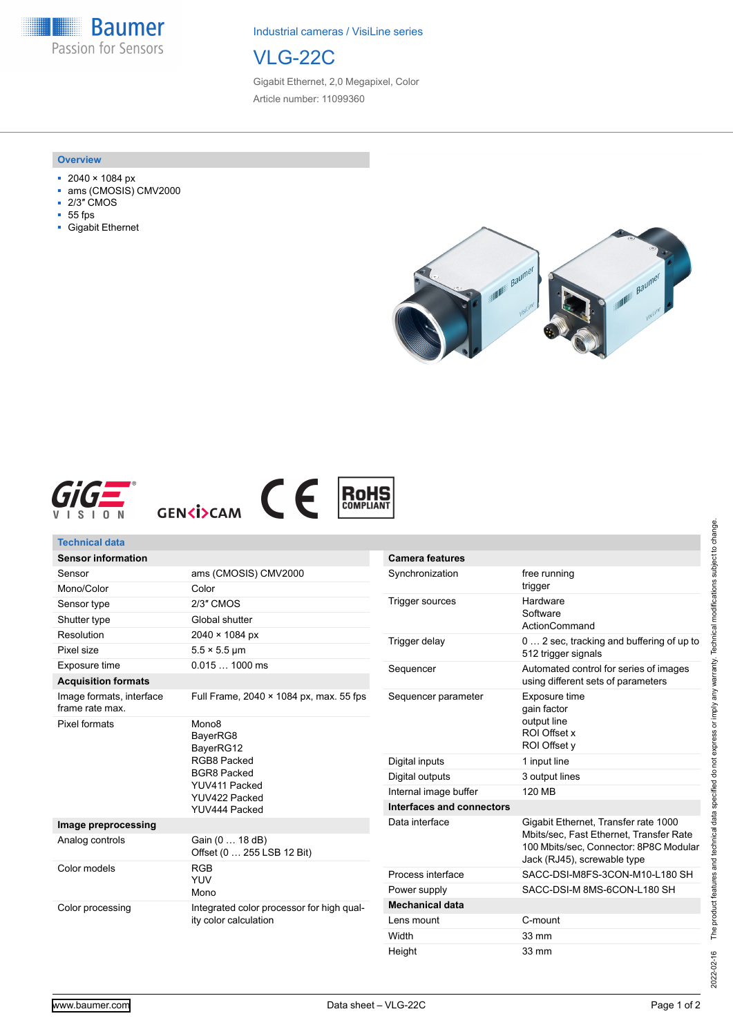**Baumer** Passion for Sensors

Industrial cameras / VisiLine series

# VLG-22C

Gigabit Ethernet, 2,0 Megapixel, Color Article number: 11099360

#### **Overview**

- 2040 × 1084 px
- ams (CMOSIS) CMV2000
- 2/3″ CMOS
- 55 fps
- Gigabit Ethernet









| Technical data                              |                                                                                                                                    |                                         |                                                                                                                                                          |
|---------------------------------------------|------------------------------------------------------------------------------------------------------------------------------------|-----------------------------------------|----------------------------------------------------------------------------------------------------------------------------------------------------------|
| <b>Sensor information</b>                   |                                                                                                                                    | <b>Camera features</b>                  |                                                                                                                                                          |
| Sensor                                      | ams (CMOSIS) CMV2000                                                                                                               | Synchronization                         | free running                                                                                                                                             |
| Mono/Color                                  | Color                                                                                                                              |                                         | trigger                                                                                                                                                  |
| Sensor type                                 | 2/3" CMOS                                                                                                                          | <b>Trigger sources</b><br>Trigger delay | Hardware<br>Software<br>ActionCommand<br>0  2 sec, tracking and buffering of up to<br>512 trigger signals                                                |
| Shutter type                                | Global shutter                                                                                                                     |                                         |                                                                                                                                                          |
| Resolution                                  | $2040 \times 1084 \text{ px}$                                                                                                      |                                         |                                                                                                                                                          |
| Pixel size                                  | $5.5 \times 5.5$ µm                                                                                                                |                                         |                                                                                                                                                          |
| Exposure time                               | $0.0151000$ ms                                                                                                                     | Sequencer                               | Automated control for series of images<br>using different sets of parameters                                                                             |
| <b>Acquisition formats</b>                  |                                                                                                                                    |                                         |                                                                                                                                                          |
| Image formats, interface<br>frame rate max. | Full Frame, 2040 × 1084 px, max. 55 fps                                                                                            | Sequencer parameter                     | Exposure time<br>gain factor                                                                                                                             |
| <b>Pixel formats</b>                        | Mono <sub>8</sub><br>BayerRG8<br>BayerRG12<br>RGB8 Packed<br><b>BGR8 Packed</b><br>YUV411 Packed<br>YUV422 Packed<br>YUV444 Packed |                                         | output line<br>ROI Offset x<br>ROI Offset v                                                                                                              |
|                                             |                                                                                                                                    | Digital inputs                          | 1 input line                                                                                                                                             |
|                                             |                                                                                                                                    | Digital outputs                         | 3 output lines                                                                                                                                           |
|                                             |                                                                                                                                    | Internal image buffer                   | 120 MB                                                                                                                                                   |
|                                             |                                                                                                                                    | Interfaces and connectors               |                                                                                                                                                          |
| Image preprocessing                         |                                                                                                                                    | Data interface                          | Gigabit Ethernet, Transfer rate 1000<br>Mbits/sec, Fast Ethernet, Transfer Rate<br>100 Mbits/sec. Connector: 8P8C Modular<br>Jack (RJ45), screwable type |
| Analog controls                             | Gain (0  18 dB)<br>Offset (0  255 LSB 12 Bit)                                                                                      |                                         |                                                                                                                                                          |
| Color models                                | <b>RGB</b><br><b>YUV</b><br>Mono                                                                                                   | Process interface                       | SACC-DSI-M8FS-3CON-M10-L180 SH                                                                                                                           |
|                                             |                                                                                                                                    | Power supply                            | SACC-DSI-M 8MS-6CON-L180 SH                                                                                                                              |
| Color processing                            | Integrated color processor for high qual-<br>ity color calculation                                                                 | <b>Mechanical data</b>                  |                                                                                                                                                          |
|                                             |                                                                                                                                    | Lens mount                              | C-mount                                                                                                                                                  |
|                                             |                                                                                                                                    | Width                                   | 33 mm                                                                                                                                                    |

Height 33 mm